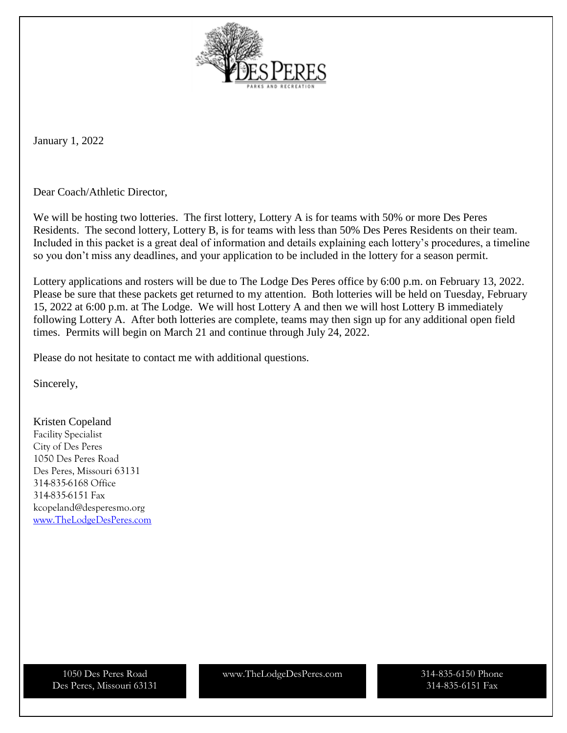

January 1, 2022

Dear Coach/Athletic Director,

We will be hosting two lotteries. The first lottery, Lottery A is for teams with 50% or more Des Peres Residents. The second lottery, Lottery B, is for teams with less than 50% Des Peres Residents on their team. Included in this packet is a great deal of information and details explaining each lottery's procedures, a timeline so you don't miss any deadlines, and your application to be included in the lottery for a season permit.

Lottery applications and rosters will be due to The Lodge Des Peres office by 6:00 p.m. on February 13, 2022. Please be sure that these packets get returned to my attention. Both lotteries will be held on Tuesday, February 15, 2022 at 6:00 p.m. at The Lodge. We will host Lottery A and then we will host Lottery B immediately following Lottery A. After both lotteries are complete, teams may then sign up for any additional open field times. Permits will begin on March 21 and continue through July 24, 2022.

Please do not hesitate to contact me with additional questions.

Sincerely,

Kristen Copeland Facility Specialist City of Des Peres 1050 Des Peres Road Des Peres, Missouri 63131 314-835-6168 Office 314-835-6151 Fax kcopeland@desperesmo.org [www.TheLodgeDesPeres.com](http://www.thelodgedesperes.com/)

Des Peres, Missouri 63131

1050 Des Peres Road www.TheLodgeDesPeres.com

314-835-6150 Phone 314-835-6151 Fax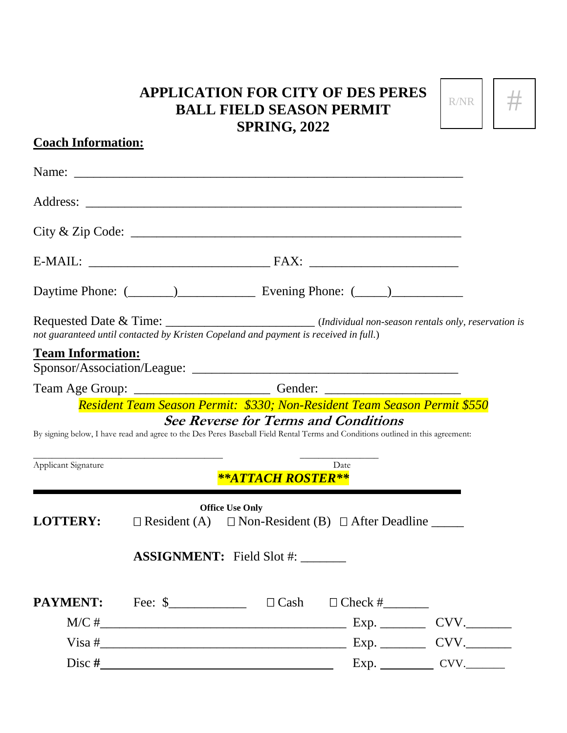#### **APPLICATION FOR CITY OF DES PERES BALL FIELD SEASON PERMIT SPRING, 2022**

| R/NR |  |
|------|--|
|      |  |

# Name: Address: \_\_\_\_\_\_\_\_\_\_\_\_\_\_\_\_\_\_\_\_\_\_\_\_\_\_\_\_\_\_\_\_\_\_\_\_\_\_\_\_\_\_\_\_\_\_\_\_\_\_\_\_\_\_\_\_\_\_ City & Zip Code: \_\_\_\_\_\_\_\_\_\_\_\_\_\_\_\_\_\_\_\_\_\_\_\_\_\_\_\_\_\_\_\_\_\_\_\_\_\_\_\_\_\_\_\_\_\_\_\_\_\_\_ E-MAIL: \_\_\_\_\_\_\_\_\_\_\_\_\_\_\_\_\_\_\_\_\_\_\_\_\_\_\_\_ FAX: \_\_\_\_\_\_\_\_\_\_\_\_\_\_\_\_\_\_\_\_\_\_\_ Daytime Phone:  $(\_\_)$  Evening Phone:  $(\_\_)$ Requested Date & Time: \_\_\_\_\_\_\_\_\_\_\_\_\_\_\_\_\_\_\_\_\_\_\_\_\_\_\_\_\_\_ (*Individual non-season rentals only, reservation is not guaranteed until contacted by Kristen Copeland and payment is received in full.*) **Team Information:** Sponsor/Association/League: \_\_\_\_\_\_\_\_\_\_\_\_\_\_\_\_\_\_\_\_\_\_\_\_\_\_\_\_\_\_\_\_\_\_\_\_\_\_\_\_\_ Team Age Group: \_\_\_\_\_\_\_\_\_\_\_\_\_\_\_\_\_\_\_\_\_\_\_\_\_\_\_\_\_\_\_\_\_Gender: \_\_\_\_\_\_\_\_\_\_\_\_\_\_\_\_\_\_\_\_\_\_\_\_ *Resident Team Season Permit: \$330; Non-Resident Team Season Permit \$550* **See Reverse for Terms and Conditions** By signing below, I have read and agree to the Des Peres Baseball Field Rental Terms and Conditions outlined in this agreement:

\_\_\_\_\_\_\_\_\_\_\_\_\_\_\_\_\_\_\_\_\_\_\_\_\_\_\_\_\_\_\_\_\_\_\_\_\_\_\_\_\_ \_\_\_\_\_\_\_\_\_\_\_\_\_\_\_\_\_

Applicant Signature Date

**Coach Information:**

*\*\*ATTACH ROSTER\*\**

| <b>LOTTERY:</b>                         | <b>Office Use Only</b><br>$\Box$ Resident (A) $\Box$ Non-Resident (B) $\Box$ After Deadline _______ |  |                            |      |  |  |
|-----------------------------------------|-----------------------------------------------------------------------------------------------------|--|----------------------------|------|--|--|
| $\overline{ASSIGNMENT}$ : Field Slot #: |                                                                                                     |  |                            |      |  |  |
| <b>PAYMENT:</b>                         | Fee: $\frac{\ }{}$                                                                                  |  | $\Box$ Cash $\Box$ Check # |      |  |  |
| M/C#                                    |                                                                                                     |  | Exp.                       | CVV. |  |  |
|                                         |                                                                                                     |  | Exp.                       | CVV. |  |  |
| Disc#                                   |                                                                                                     |  |                            | CVV. |  |  |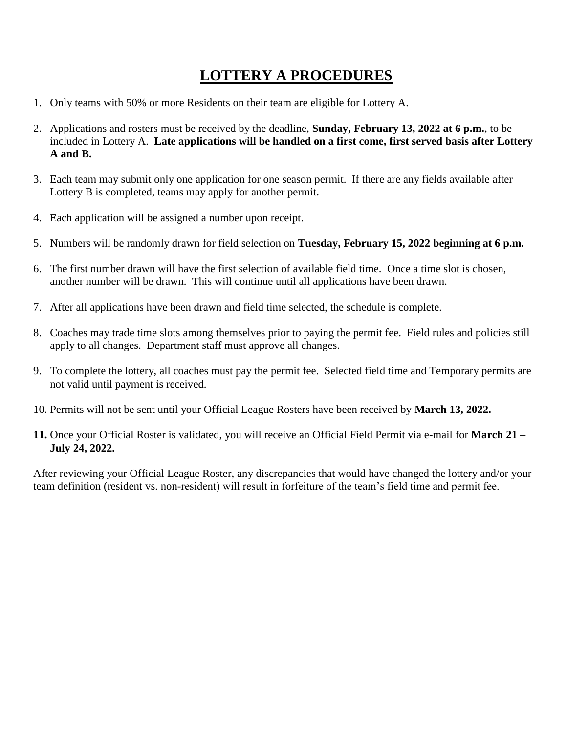## **LOTTERY A PROCEDURES**

- 1. Only teams with 50% or more Residents on their team are eligible for Lottery A.
- 2. Applications and rosters must be received by the deadline, **Sunday, February 13, 2022 at 6 p.m.**, to be included in Lottery A. **Late applications will be handled on a first come, first served basis after Lottery A and B.**
- 3. Each team may submit only one application for one season permit. If there are any fields available after Lottery B is completed, teams may apply for another permit.
- 4. Each application will be assigned a number upon receipt.
- 5. Numbers will be randomly drawn for field selection on **Tuesday, February 15, 2022 beginning at 6 p.m.**
- 6. The first number drawn will have the first selection of available field time. Once a time slot is chosen, another number will be drawn. This will continue until all applications have been drawn.
- 7. After all applications have been drawn and field time selected, the schedule is complete.
- 8. Coaches may trade time slots among themselves prior to paying the permit fee. Field rules and policies still apply to all changes. Department staff must approve all changes.
- 9. To complete the lottery, all coaches must pay the permit fee. Selected field time and Temporary permits are not valid until payment is received.
- 10. Permits will not be sent until your Official League Rosters have been received by **March 13, 2022.**
- **11.** Once your Official Roster is validated, you will receive an Official Field Permit via e-mail for **March 21 – July 24, 2022.**

After reviewing your Official League Roster, any discrepancies that would have changed the lottery and/or your team definition (resident vs. non-resident) will result in forfeiture of the team's field time and permit fee.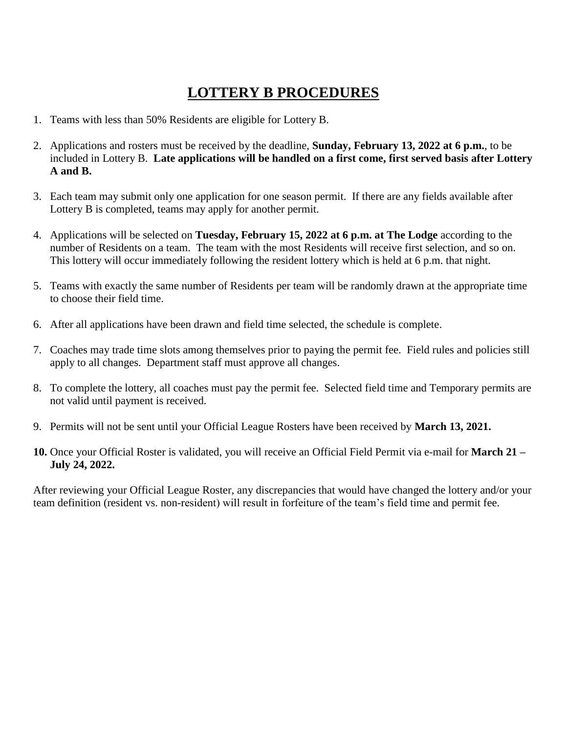### **LOTTERY B PROCEDURES**

- 1. Teams with less than 50% Residents are eligible for Lottery B.
- 2. Applications and rosters must be received by the deadline, **Sunday, February 13, 2022 at 6 p.m.**, to be included in Lottery B. **Late applications will be handled on a first come, first served basis after Lottery A and B.**
- 3. Each team may submit only one application for one season permit. If there are any fields available after Lottery B is completed, teams may apply for another permit.
- 4. Applications will be selected on **Tuesday, February 15, 2022 at 6 p.m. at The Lodge** according to the number of Residents on a team. The team with the most Residents will receive first selection, and so on. This lottery will occur immediately following the resident lottery which is held at 6 p.m. that night.
- 5. Teams with exactly the same number of Residents per team will be randomly drawn at the appropriate time to choose their field time.
- 6. After all applications have been drawn and field time selected, the schedule is complete.
- 7. Coaches may trade time slots among themselves prior to paying the permit fee. Field rules and policies still apply to all changes. Department staff must approve all changes.
- 8. To complete the lottery, all coaches must pay the permit fee. Selected field time and Temporary permits are not valid until payment is received.
- 9. Permits will not be sent until your Official League Rosters have been received by **March 13, 2021.**
- **10.** Once your Official Roster is validated, you will receive an Official Field Permit via e-mail for **March 21 – July 24, 2022.**

After reviewing your Official League Roster, any discrepancies that would have changed the lottery and/or your team definition (resident vs. non-resident) will result in forfeiture of the team's field time and permit fee.